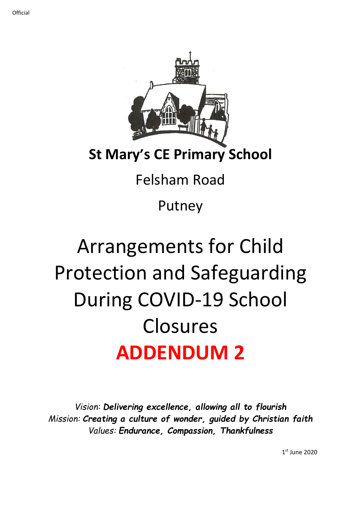

### **St Mary's CE Primary School**

## Felsham Road

Putney

# Arrangements for Child Protection and Safeguarding During COVID-19 School Closures **ADDENDUM 2**

*Vision: Delivering excellence, allowing all to flourish Mission: Creating a culture of wonder, guided by Christian faith Values: Endurance, Compassion, Thankfulness*

1 st June 2020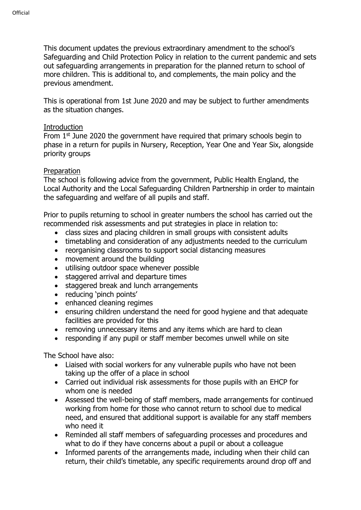This document updates the previous extraordinary amendment to the school's Safeguarding and Child Protection Policy in relation to the current pandemic and sets out safeguarding arrangements in preparation for the planned return to school of more children. This is additional to, and complements, the main policy and the previous amendment.

This is operational from 1st June 2020 and may be subject to further amendments as the situation changes.

#### Introduction

From 1<sup>st</sup> June 2020 the government have required that primary schools begin to phase in a return for pupils in Nursery, Reception, Year One and Year Six, alongside priority groups

#### Preparation

The school is following advice from the government, Public Health England, the Local Authority and the Local Safeguarding Children Partnership in order to maintain the safeguarding and welfare of all pupils and staff.

Prior to pupils returning to school in greater numbers the school has carried out the recommended risk assessments and put strategies in place in relation to:

- class sizes and placing children in small groups with consistent adults
- timetabling and consideration of any adjustments needed to the curriculum
- reorganising classrooms to support social distancing measures
- movement around the building
- utilising outdoor space whenever possible
- staggered arrival and departure times
- staggered break and lunch arrangements
- reducing 'pinch points'
- enhanced cleaning regimes
- ensuring children understand the need for good hygiene and that adequate facilities are provided for this
- removing unnecessary items and any items which are hard to clean
- responding if any pupil or staff member becomes unwell while on site

The School have also:

- Liaised with social workers for any vulnerable pupils who have not been taking up the offer of a place in school
- Carried out individual risk assessments for those pupils with an EHCP for whom one is needed
- Assessed the well-being of staff members, made arrangements for continued working from home for those who cannot return to school due to medical need, and ensured that additional support is available for any staff members who need it
- Reminded all staff members of safeguarding processes and procedures and what to do if they have concerns about a pupil or about a colleague
- Informed parents of the arrangements made, including when their child can return, their child's timetable, any specific requirements around drop off and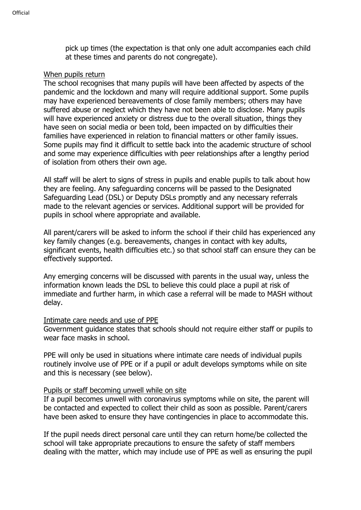pick up times (the expectation is that only one adult accompanies each child at these times and parents do not congregate).

#### When pupils return

The school recognises that many pupils will have been affected by aspects of the pandemic and the lockdown and many will require additional support. Some pupils may have experienced bereavements of close family members; others may have suffered abuse or neglect which they have not been able to disclose. Many pupils will have experienced anxiety or distress due to the overall situation, things they have seen on social media or been told, been impacted on by difficulties their families have experienced in relation to financial matters or other family issues. Some pupils may find it difficult to settle back into the academic structure of school and some may experience difficulties with peer relationships after a lengthy period of isolation from others their own age.

All staff will be alert to signs of stress in pupils and enable pupils to talk about how they are feeling. Any safeguarding concerns will be passed to the Designated Safeguarding Lead (DSL) or Deputy DSLs promptly and any necessary referrals made to the relevant agencies or services. Additional support will be provided for pupils in school where appropriate and available.

All parent/carers will be asked to inform the school if their child has experienced any key family changes (e.g. bereavements, changes in contact with key adults, significant events, health difficulties etc.) so that school staff can ensure they can be effectively supported.

Any emerging concerns will be discussed with parents in the usual way, unless the information known leads the DSL to believe this could place a pupil at risk of immediate and further harm, in which case a referral will be made to MASH without delay.

#### Intimate care needs and use of PPE

Government guidance states that schools should not require either staff or pupils to wear face masks in school.

PPE will only be used in situations where intimate care needs of individual pupils routinely involve use of PPE or if a pupil or adult develops symptoms while on site and this is necessary (see below).

#### Pupils or staff becoming unwell while on site

If a pupil becomes unwell with coronavirus symptoms while on site, the parent will be contacted and expected to collect their child as soon as possible. Parent/carers have been asked to ensure they have contingencies in place to accommodate this.

If the pupil needs direct personal care until they can return home/be collected the school will take appropriate precautions to ensure the safety of staff members dealing with the matter, which may include use of PPE as well as ensuring the pupil